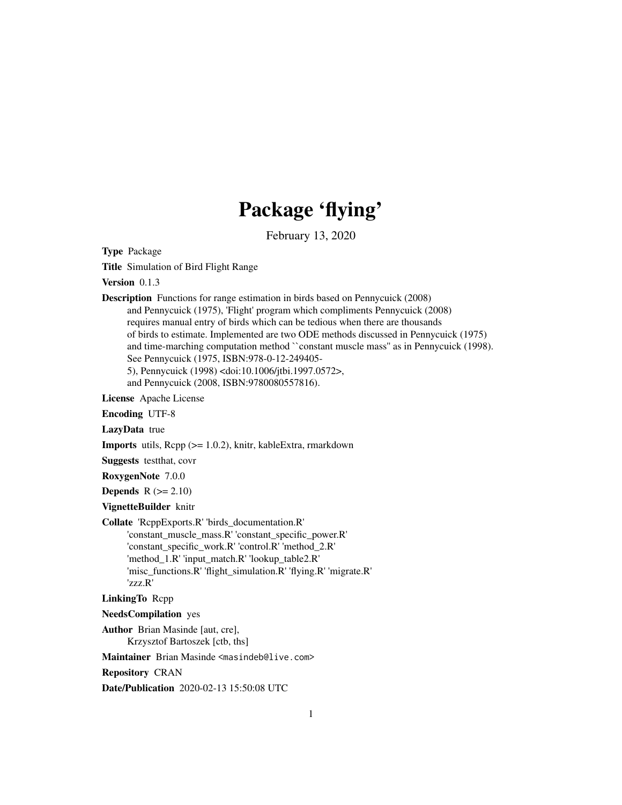## Package 'flying'

February 13, 2020

Type Package

Title Simulation of Bird Flight Range

Version 0.1.3

Description Functions for range estimation in birds based on Pennycuick (2008) and Pennycuick (1975), 'Flight' program which compliments Pennycuick (2008) requires manual entry of birds which can be tedious when there are thousands of birds to estimate. Implemented are two ODE methods discussed in Pennycuick (1975) and time-marching computation method ``constant muscle mass'' as in Pennycuick (1998). See Pennycuick (1975, ISBN:978-0-12-249405- 5), Pennycuick (1998) <doi:10.1006/jtbi.1997.0572>, and Pennycuick (2008, ISBN:9780080557816).

License Apache License

Encoding UTF-8

LazyData true

Imports utils, Rcpp (>= 1.0.2), knitr, kableExtra, rmarkdown

Suggests testthat, covr

RoxygenNote 7.0.0

Depends  $R (= 2.10)$ 

VignetteBuilder knitr

Collate 'RcppExports.R' 'birds\_documentation.R'

'constant\_muscle\_mass.R' 'constant\_specific\_power.R' 'constant\_specific\_work.R' 'control.R' 'method\_2.R' 'method\_1.R' 'input\_match.R' 'lookup\_table2.R' 'misc\_functions.R' 'flight\_simulation.R' 'flying.R' 'migrate.R' 'zzz.R'

LinkingTo Rcpp

NeedsCompilation yes

Author Brian Masinde [aut, cre],

Krzysztof Bartoszek [ctb, ths]

Maintainer Brian Masinde <masindeb@live.com>

Repository CRAN

Date/Publication 2020-02-13 15:50:08 UTC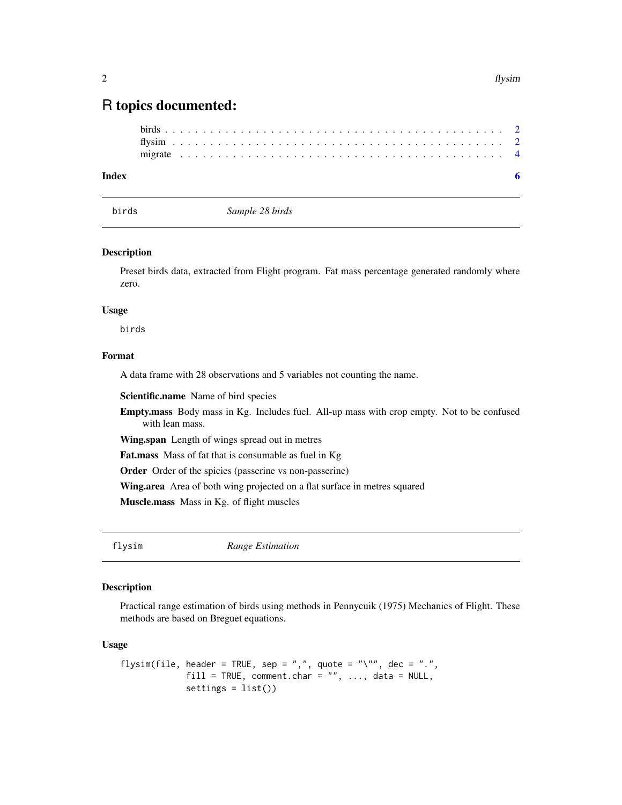### <span id="page-1-0"></span>R topics documented:

#### **Index** [6](#page-5-0) **6**

birds *Sample 28 birds*

#### Description

Preset birds data, extracted from Flight program. Fat mass percentage generated randomly where zero.

#### Usage

birds

#### Format

A data frame with 28 observations and 5 variables not counting the name.

Scientific.name Name of bird species

Empty.mass Body mass in Kg. Includes fuel. All-up mass with crop empty. Not to be confused with lean mass.

Wing.span Length of wings spread out in metres

Fat.mass Mass of fat that is consumable as fuel in Kg

Order Order of the spicies (passerine vs non-passerine)

Wing.area Area of both wing projected on a flat surface in metres squared

Muscle.mass Mass in Kg. of flight muscles

flysim *Range Estimation*

#### Description

Practical range estimation of birds using methods in Pennycuik (1975) Mechanics of Flight. These methods are based on Breguet equations.

#### Usage

```
flysim(file, header = TRUE, sep = ",", quote = "\"", dec = ".",
            fill = TRUE, comment.char = "", ..., data = NULL,
            settings = list()
```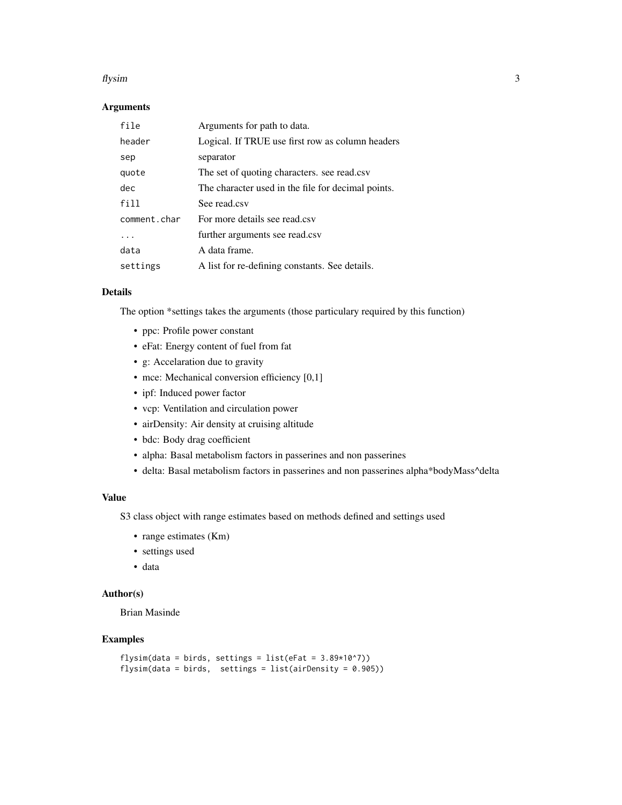#### flysim 3

#### Arguments

| file         | Arguments for path to data.                        |
|--------------|----------------------------------------------------|
| header       | Logical. If TRUE use first row as column headers   |
| sep          | separator                                          |
| quote        | The set of quoting characters, see read.csv        |
| dec          | The character used in the file for decimal points. |
| fill         | See read.csv                                       |
| comment.char | For more details see read csv                      |
|              | further arguments see read.csv                     |
| data         | A data frame.                                      |
| settings     | A list for re-defining constants. See details.     |

#### Details

The option \*settings takes the arguments (those particulary required by this function)

- ppc: Profile power constant
- eFat: Energy content of fuel from fat
- g: Accelaration due to gravity
- mce: Mechanical conversion efficiency [0,1]
- ipf: Induced power factor
- vcp: Ventilation and circulation power
- airDensity: Air density at cruising altitude
- bdc: Body drag coefficient
- alpha: Basal metabolism factors in passerines and non passerines
- delta: Basal metabolism factors in passerines and non passerines alpha\*bodyMass^delta

#### Value

S3 class object with range estimates based on methods defined and settings used

- range estimates (Km)
- settings used
- data

#### Author(s)

Brian Masinde

#### Examples

```
flysim(data = birds, settings = list(eFat = 3.89*10^7))
flysim(data = birds, settings = list(airDensity = 0.905))
```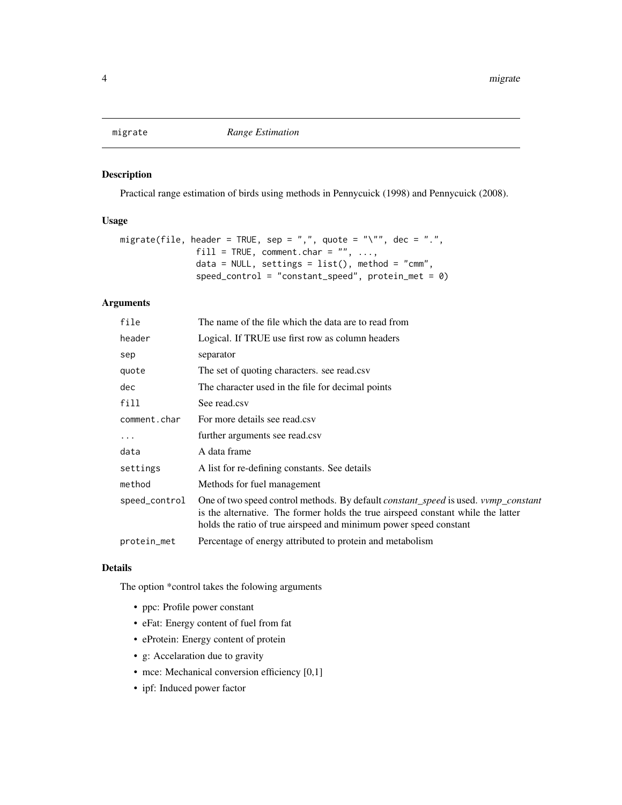<span id="page-3-0"></span>

#### Description

Practical range estimation of birds using methods in Pennycuick (1998) and Pennycuick (2008).

#### Usage

```
migrate(file, header = TRUE, sep = ",", quote = "\"", dec = ".",
               fill = TRUE, comment.charAt = "", ...,data = NULL, settings = list(), method = "cmm",
               speed_{control} = "constant_{speed", protein\_met = 0})
```
#### Arguments

| file          | The name of the file which the data are to read from                                                                                                                                                                                        |
|---------------|---------------------------------------------------------------------------------------------------------------------------------------------------------------------------------------------------------------------------------------------|
| header        | Logical. If TRUE use first row as column headers                                                                                                                                                                                            |
| sep           | separator                                                                                                                                                                                                                                   |
| quote         | The set of quoting characters. see read.csv                                                                                                                                                                                                 |
| dec           | The character used in the file for decimal points                                                                                                                                                                                           |
| fill          | See read.csv                                                                                                                                                                                                                                |
| comment.char  | For more details see read.csv                                                                                                                                                                                                               |
| $\cdots$      | further arguments see read.csv                                                                                                                                                                                                              |
| data          | A data frame                                                                                                                                                                                                                                |
| settings      | A list for re-defining constants. See details                                                                                                                                                                                               |
| method        | Methods for fuel management                                                                                                                                                                                                                 |
| speed_control | One of two speed control methods. By default constant_speed is used. vvmp_constant<br>is the alternative. The former holds the true airspeed constant while the latter<br>holds the ratio of true airspeed and minimum power speed constant |
| protein_met   | Percentage of energy attributed to protein and metabolism                                                                                                                                                                                   |

#### Details

The option \*control takes the folowing arguments

- ppc: Profile power constant
- eFat: Energy content of fuel from fat
- eProtein: Energy content of protein
- g: Accelaration due to gravity
- mce: Mechanical conversion efficiency [0,1]
- ipf: Induced power factor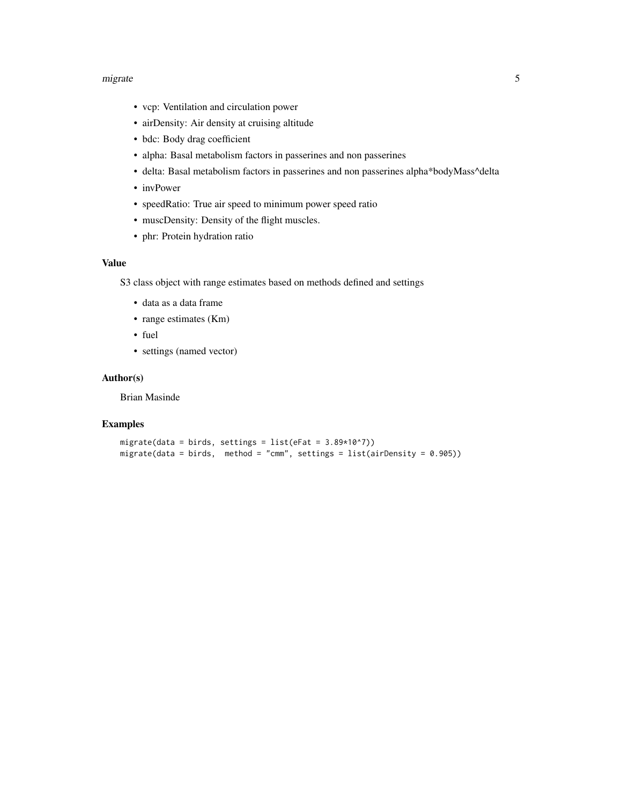#### migrate 5 and 5 and 5 and 5 and 5 and 5 and 5 and 5 and 5 and 5 and 5 and 5 and 5 and 5 and 5 and 5 and 5 and 5 and 5 and 5 and 5 and 5 and 5 and 5 and 5 and 5 and 5 and 5 and 5 and 5 and 5 and 5 and 5 and 5 and 5 and 5 an

- vcp: Ventilation and circulation power
- airDensity: Air density at cruising altitude
- bdc: Body drag coefficient
- alpha: Basal metabolism factors in passerines and non passerines
- delta: Basal metabolism factors in passerines and non passerines alpha\*bodyMass^delta
- invPower
- speedRatio: True air speed to minimum power speed ratio
- muscDensity: Density of the flight muscles.
- phr: Protein hydration ratio

#### Value

S3 class object with range estimates based on methods defined and settings

- data as a data frame
- range estimates (Km)
- fuel
- settings (named vector)

#### Author(s)

Brian Masinde

#### Examples

```
migrate(data = birds, settings = list(eFat = 3.89*10^{\circ}7))
migrate(data = birds, method = "cmm", settings = list(airDensity = 0.905))
```